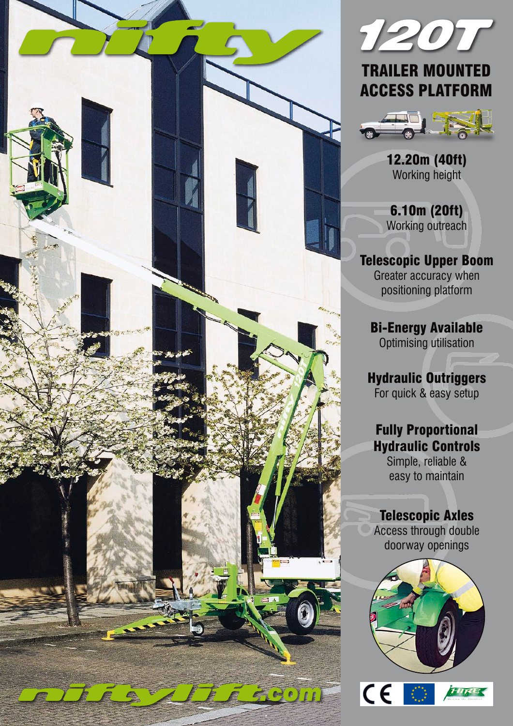



# TRAILER MOUNTED ACCESS PLATFORM



12.20m (40ft) Working height

6.10m (20ft) Working outreach

Telescopic Upper Boom Greater accuracy when positioning platform

Bi-Energy Available Optimising utilisation

Hydraulic Outriggers For quick & easy setup

## Fully Proportional Hydraulic Controls

Simple, reliable & easy to maintain

### Telescopic Axles

Access through double doorway openings